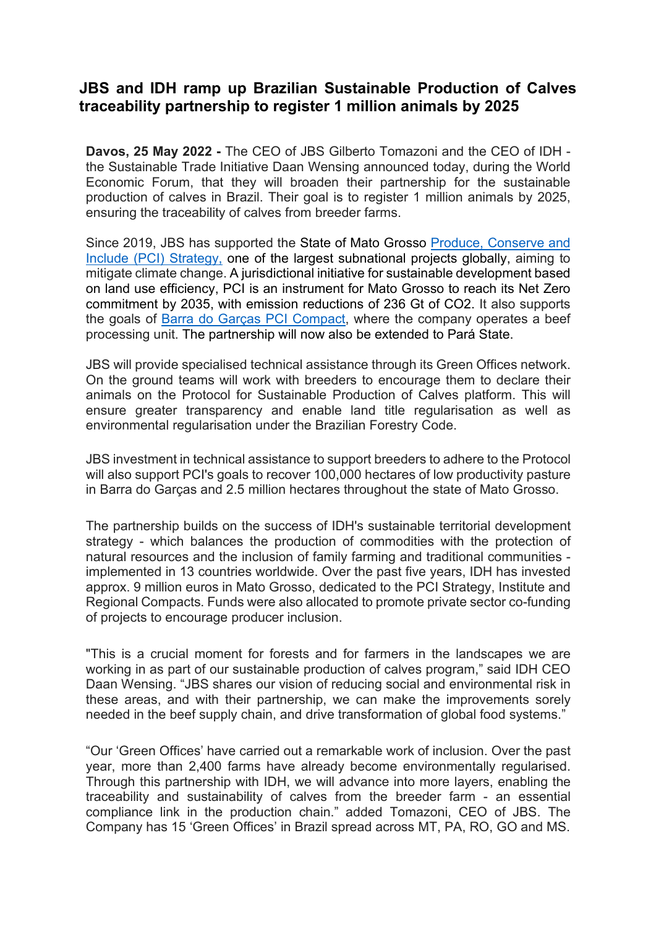## **JBS and IDH ramp up Brazilian Sustainable Production of Calves traceability partnership to register 1 million animals by 2025**

**Davos, 25 May 2022 -** The CEO of JBS Gilberto Tomazoni and the CEO of IDH the Sustainable Trade Initiative Daan Wensing announced today, during the World Economic Forum, that they will broaden their partnership for the sustainable production of calves in Brazil. Their goal is to register 1 million animals by 2025, ensuring the traceability of calves from breeder farms.

Since 2019, JBS has supported the State of Mato Grosso [Produce, Conserve and](https://pcimt.org/index.php/en/)  [Include \(PCI\) Strategy,](https://pcimt.org/index.php/en/) one of the largest subnational projects globally, aiming to mitigate climate change. A jurisdictional initiative for sustainable development based on land use efficiency, PCI is an instrument for Mato Grosso to reach its Net Zero commitment by 2035, with emission reductions of 236 Gt of CO2. It also supports the goals of [Barra do Garças PCI Compact,](https://www.idhsustainabletrade.com/barra-do-garcas-regional-pci-compact/) where the company operates a beef processing unit. The partnership will now also be extended to Pará State.

JBS will provide specialised technical assistance through its Green Offices network. On the ground teams will work with breeders to encourage them to declare their animals on the Protocol for Sustainable Production of Calves platform. This will ensure greater transparency and enable land title regularisation as well as environmental regularisation under the Brazilian Forestry Code.

JBS investment in technical assistance to support breeders to adhere to the Protocol will also support PCI's goals to recover 100,000 hectares of low productivity pasture in Barra do Garças and 2.5 million hectares throughout the state of Mato Grosso.

The partnership builds on the success of IDH's sustainable territorial development strategy - which balances the production of commodities with the protection of natural resources and the inclusion of family farming and traditional communities implemented in 13 countries worldwide. Over the past five years, IDH has invested approx. 9 million euros in Mato Grosso, dedicated to the PCI Strategy, Institute and Regional Compacts. Funds were also allocated to promote private sector co-funding of projects to encourage producer inclusion.

"This is a crucial moment for forests and for farmers in the landscapes we are working in as part of our sustainable production of calves program," said IDH CEO Daan Wensing. "JBS shares our vision of reducing social and environmental risk in these areas, and with their partnership, we can make the improvements sorely needed in the beef supply chain, and drive transformation of global food systems."

"Our 'Green Offices' have carried out a remarkable work of inclusion. Over the past year, more than 2,400 farms have already become environmentally regularised. Through this partnership with IDH, we will advance into more layers, enabling the traceability and sustainability of calves from the breeder farm - an essential compliance link in the production chain." added Tomazoni, CEO of JBS. The Company has 15 'Green Offices' in Brazil spread across MT, PA, RO, GO and MS.